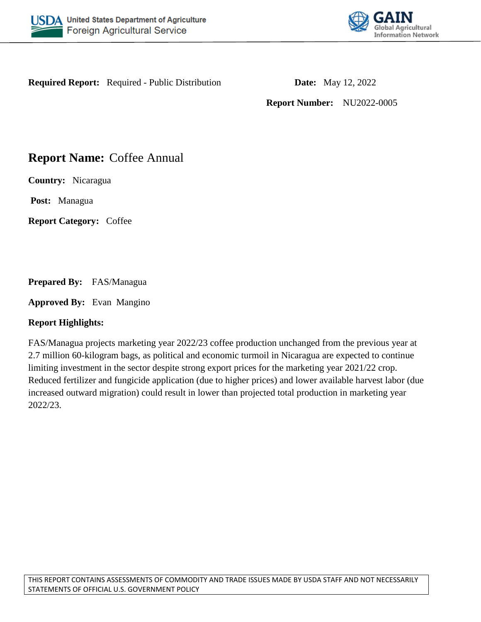



**Required Report:** Required - Public Distribution **Date:** May 12, 2022

**Report Number:** NU2022-0005

# **Report Name:** Coffee Annual

**Country:** Nicaragua

**Post:** Managua

**Report Category:** Coffee

**Prepared By:** FAS/Managua

**Approved By:** Evan Mangino

## **Report Highlights:**

FAS/Managua projects marketing year 2022/23 coffee production unchanged from the previous year at 2.7 million 60-kilogram bags, as political and economic turmoil in Nicaragua are expected to continue limiting investment in the sector despite strong export prices for the marketing year 2021/22 crop. Reduced fertilizer and fungicide application (due to higher prices) and lower available harvest labor (due increased outward migration) could result in lower than projected total production in marketing year 2022/23.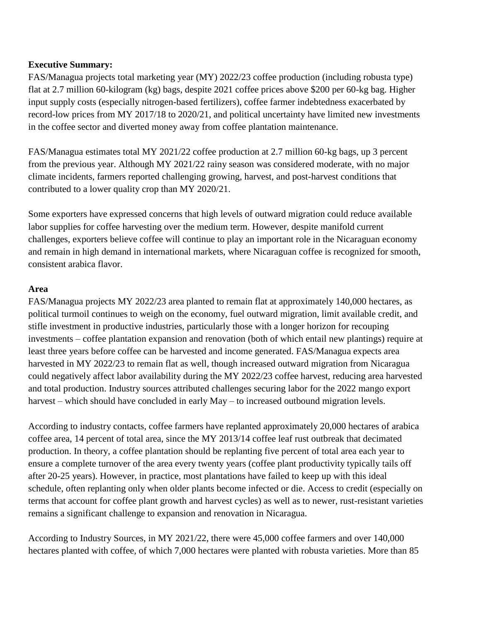## **Executive Summary:**

FAS/Managua projects total marketing year (MY) 2022/23 coffee production (including robusta type) flat at 2.7 million 60-kilogram (kg) bags, despite 2021 coffee prices above \$200 per 60-kg bag. Higher input supply costs (especially nitrogen-based fertilizers), coffee farmer indebtedness exacerbated by record-low prices from MY 2017/18 to 2020/21, and political uncertainty have limited new investments in the coffee sector and diverted money away from coffee plantation maintenance.

FAS/Managua estimates total MY 2021/22 coffee production at 2.7 million 60-kg bags, up 3 percent from the previous year. Although MY 2021/22 rainy season was considered moderate, with no major climate incidents, farmers reported challenging growing, harvest, and post-harvest conditions that contributed to a lower quality crop than MY 2020/21.

Some exporters have expressed concerns that high levels of outward migration could reduce available labor supplies for coffee harvesting over the medium term. However, despite manifold current challenges, exporters believe coffee will continue to play an important role in the Nicaraguan economy and remain in high demand in international markets, where Nicaraguan coffee is recognized for smooth, consistent arabica flavor.

### **Area**

FAS/Managua projects MY 2022/23 area planted to remain flat at approximately 140,000 hectares, as political turmoil continues to weigh on the economy, fuel outward migration, limit available credit, and stifle investment in productive industries, particularly those with a longer horizon for recouping investments – coffee plantation expansion and renovation (both of which entail new plantings) require at least three years before coffee can be harvested and income generated. FAS/Managua expects area harvested in MY 2022/23 to remain flat as well, though increased outward migration from Nicaragua could negatively affect labor availability during the MY 2022/23 coffee harvest, reducing area harvested and total production. Industry sources attributed challenges securing labor for the 2022 mango export harvest – which should have concluded in early May – to increased outbound migration levels.

According to industry contacts, coffee farmers have replanted approximately 20,000 hectares of arabica coffee area, 14 percent of total area, since the MY 2013/14 coffee leaf rust outbreak that decimated production. In theory, a coffee plantation should be replanting five percent of total area each year to ensure a complete turnover of the area every twenty years (coffee plant productivity typically tails off after 20-25 years). However, in practice, most plantations have failed to keep up with this ideal schedule, often replanting only when older plants become infected or die. Access to credit (especially on terms that account for coffee plant growth and harvest cycles) as well as to newer, rust-resistant varieties remains a significant challenge to expansion and renovation in Nicaragua.

According to Industry Sources, in MY 2021/22, there were 45,000 coffee farmers and over 140,000 hectares planted with coffee, of which 7,000 hectares were planted with robusta varieties. More than 85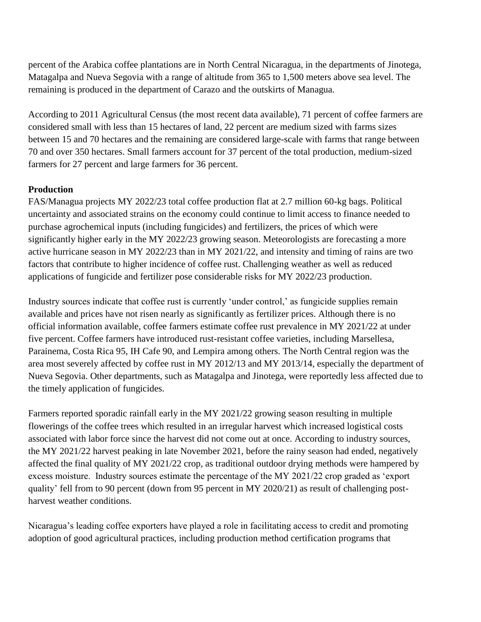percent of the Arabica coffee plantations are in North Central Nicaragua, in the departments of Jinotega, Matagalpa and Nueva Segovia with a range of altitude from 365 to 1,500 meters above sea level. The remaining is produced in the department of Carazo and the outskirts of Managua.

According to 2011 Agricultural Census (the most recent data available), 71 percent of coffee farmers are considered small with less than 15 hectares of land, 22 percent are medium sized with farms sizes between 15 and 70 hectares and the remaining are considered large-scale with farms that range between 70 and over 350 hectares. Small farmers account for 37 percent of the total production, medium-sized farmers for 27 percent and large farmers for 36 percent.

## **Production**

FAS/Managua projects MY 2022/23 total coffee production flat at 2.7 million 60-kg bags. Political uncertainty and associated strains on the economy could continue to limit access to finance needed to purchase agrochemical inputs (including fungicides) and fertilizers, the prices of which were significantly higher early in the MY 2022/23 growing season. Meteorologists are forecasting a more active hurricane season in MY 2022/23 than in MY 2021/22, and intensity and timing of rains are two factors that contribute to higher incidence of coffee rust. Challenging weather as well as reduced applications of fungicide and fertilizer pose considerable risks for MY 2022/23 production.

Industry sources indicate that coffee rust is currently 'under control,' as fungicide supplies remain available and prices have not risen nearly as significantly as fertilizer prices. Although there is no official information available, coffee farmers estimate coffee rust prevalence in MY 2021/22 at under five percent. Coffee farmers have introduced rust-resistant coffee varieties, including Marsellesa, Parainema, Costa Rica 95, IH Cafe 90, and Lempira among others. The North Central region was the area most severely affected by coffee rust in MY 2012/13 and MY 2013/14, especially the department of Nueva Segovia. Other departments, such as Matagalpa and Jinotega, were reportedly less affected due to the timely application of fungicides.

Farmers reported sporadic rainfall early in the MY 2021/22 growing season resulting in multiple flowerings of the coffee trees which resulted in an irregular harvest which increased logistical costs associated with labor force since the harvest did not come out at once. According to industry sources, the MY 2021/22 harvest peaking in late November 2021, before the rainy season had ended, negatively affected the final quality of MY 2021/22 crop, as traditional outdoor drying methods were hampered by excess moisture. Industry sources estimate the percentage of the MY 2021/22 crop graded as 'export quality' fell from to 90 percent (down from 95 percent in MY 2020/21) as result of challenging postharvest weather conditions.

Nicaragua's leading coffee exporters have played a role in facilitating access to credit and promoting adoption of good agricultural practices, including production method certification programs that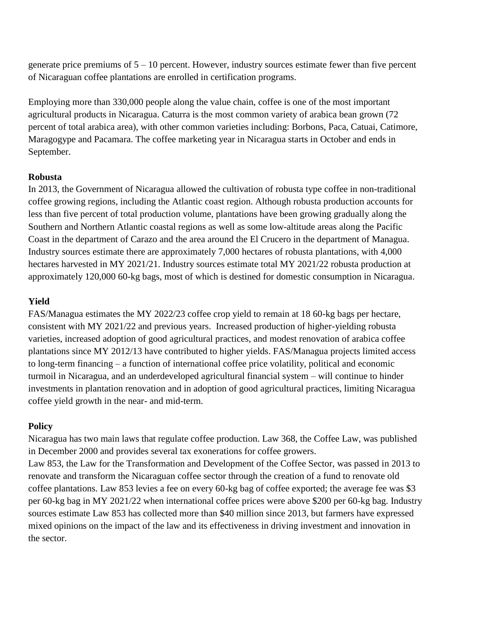generate price premiums of  $5 - 10$  percent. However, industry sources estimate fewer than five percent of Nicaraguan coffee plantations are enrolled in certification programs.

Employing more than 330,000 people along the value chain, coffee is one of the most important agricultural products in Nicaragua. Caturra is the most common variety of arabica bean grown (72 percent of total arabica area), with other common varieties including: Borbons, Paca, Catuai, Catimore, Maragogype and Pacamara. The coffee marketing year in Nicaragua starts in October and ends in September.

### **Robusta**

In 2013, the Government of Nicaragua allowed the cultivation of robusta type coffee in non-traditional coffee growing regions, including the Atlantic coast region. Although robusta production accounts for less than five percent of total production volume, plantations have been growing gradually along the Southern and Northern Atlantic coastal regions as well as some low-altitude areas along the Pacific Coast in the department of Carazo and the area around the El Crucero in the department of Managua. Industry sources estimate there are approximately 7,000 hectares of robusta plantations, with 4,000 hectares harvested in MY 2021/21. Industry sources estimate total MY 2021/22 robusta production at approximately 120,000 60-kg bags, most of which is destined for domestic consumption in Nicaragua.

#### **Yield**

FAS/Managua estimates the MY 2022/23 coffee crop yield to remain at 18 60-kg bags per hectare, consistent with MY 2021/22 and previous years. Increased production of higher-yielding robusta varieties, increased adoption of good agricultural practices, and modest renovation of arabica coffee plantations since MY 2012/13 have contributed to higher yields. FAS/Managua projects limited access to long-term financing – a function of international coffee price volatility, political and economic turmoil in Nicaragua, and an underdeveloped agricultural financial system – will continue to hinder investments in plantation renovation and in adoption of good agricultural practices, limiting Nicaragua coffee yield growth in the near- and mid-term.

#### **Policy**

Nicaragua has two main laws that regulate coffee production. Law 368, the Coffee Law, was published in December 2000 and provides several tax exonerations for coffee growers. Law 853, the Law for the Transformation and Development of the Coffee Sector, was passed in 2013 to renovate and transform the Nicaraguan coffee sector through the creation of a fund to renovate old coffee plantations. Law 853 levies a fee on every 60-kg bag of coffee exported; the average fee was \$3 per 60-kg bag in MY 2021/22 when international coffee prices were above \$200 per 60-kg bag. Industry sources estimate Law 853 has collected more than \$40 million since 2013, but farmers have expressed mixed opinions on the impact of the law and its effectiveness in driving investment and innovation in the sector.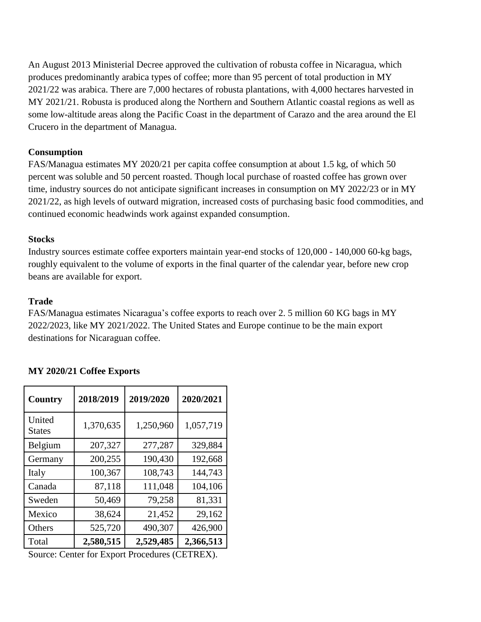An August 2013 Ministerial Decree approved the cultivation of robusta coffee in Nicaragua, which produces predominantly arabica types of coffee; more than 95 percent of total production in MY 2021/22 was arabica. There are 7,000 hectares of robusta plantations, with 4,000 hectares harvested in MY 2021/21. Robusta is produced along the Northern and Southern Atlantic coastal regions as well as some low-altitude areas along the Pacific Coast in the department of Carazo and the area around the El Crucero in the department of Managua.

### **Consumption**

FAS/Managua estimates MY 2020/21 per capita coffee consumption at about 1.5 kg, of which 50 percent was soluble and 50 percent roasted. Though local purchase of roasted coffee has grown over time, industry sources do not anticipate significant increases in consumption on MY 2022/23 or in MY 2021/22, as high levels of outward migration, increased costs of purchasing basic food commodities, and continued economic headwinds work against expanded consumption.

### **Stocks**

Industry sources estimate coffee exporters maintain year-end stocks of 120,000 - 140,000 60-kg bags, roughly equivalent to the volume of exports in the final quarter of the calendar year, before new crop beans are available for export.

### **Trade**

FAS/Managua estimates Nicaragua's coffee exports to reach over 2. 5 million 60 KG bags in MY 2022/2023, like MY 2021/2022. The United States and Europe continue to be the main export destinations for Nicaraguan coffee.

| <b>Country</b>          | 2018/2019 | 2019/2020 | 2020/2021 |  |  |
|-------------------------|-----------|-----------|-----------|--|--|
| United<br><b>States</b> | 1,370,635 | 1,250,960 | 1,057,719 |  |  |
| Belgium                 | 207,327   | 277,287   | 329,884   |  |  |
| Germany                 | 200,255   | 190,430   | 192,668   |  |  |
| Italy                   | 100,367   | 108,743   | 144,743   |  |  |
| Canada                  | 87,118    | 111,048   | 104,106   |  |  |
| Sweden                  | 50,469    | 79,258    | 81,331    |  |  |
| Mexico                  | 38,624    | 21,452    | 29,162    |  |  |
| Others                  | 525,720   | 490,307   | 426,900   |  |  |
| Total                   | 2,580,515 | 2,529,485 | 2,366,513 |  |  |

#### **MY 2020/21 Coffee Exports**

Source: Center for Export Procedures (CETREX).